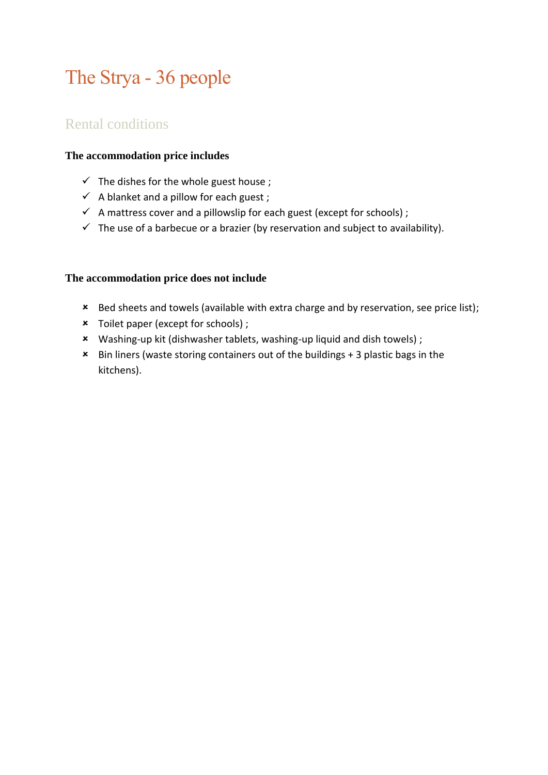# The Strya - 36 people

### Rental conditions

#### **The accommodation price includes**

- $\checkmark$  The dishes for the whole guest house ;
- $\checkmark$  A blanket and a pillow for each guest;
- $\checkmark$  A mattress cover and a pillowslip for each guest (except for schools);
- $\checkmark$  The use of a barbecue or a brazier (by reservation and subject to availability).

#### **The accommodation price does not include**

- Bed sheets and towels (available with extra charge and by reservation, see price list);
- Toilet paper (except for schools) ;
- Washing-up kit (dishwasher tablets, washing-up liquid and dish towels) ;
- Bin liners (waste storing containers out of the buildings + 3 plastic bags in the kitchens).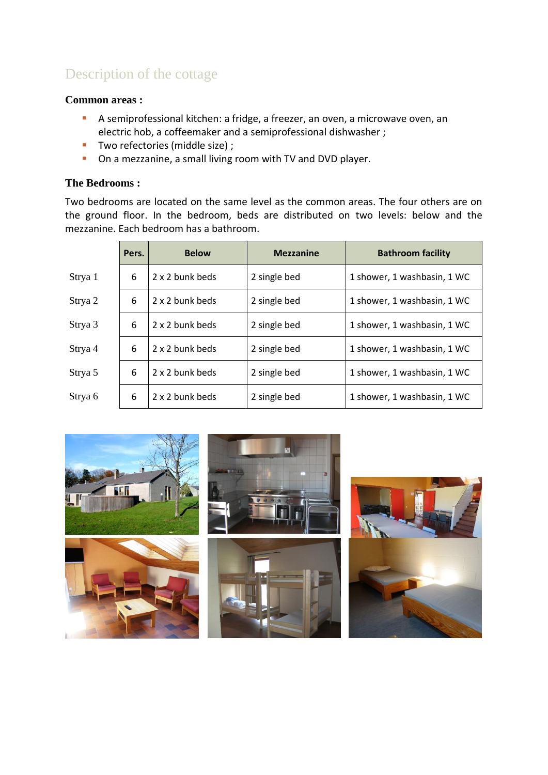## Description of the cottage

#### **Common areas :**

- A semiprofessional kitchen: a fridge, a freezer, an oven, a microwave oven, an electric hob, a coffeemaker and a semiprofessional dishwasher ;
- Two refectories (middle size) ;
- **•** On a mezzanine, a small living room with TV and DVD player.

#### **The Bedrooms :**

Two bedrooms are located on the same level as the common areas. The four others are on the ground floor. In the bedroom, beds are distributed on two levels: below and the mezzanine. Each bedroom has a bathroom.

|         | Pers. | <b>Below</b>    | <b>Mezzanine</b> | <b>Bathroom facility</b>    |
|---------|-------|-----------------|------------------|-----------------------------|
| Strya 1 | 6     | 2 x 2 bunk beds | 2 single bed     | 1 shower, 1 washbasin, 1 WC |
| Strya 2 | 6     | 2 x 2 bunk beds | 2 single bed     | 1 shower, 1 washbasin, 1 WC |
| Strya 3 | 6     | 2 x 2 bunk beds | 2 single bed     | 1 shower, 1 washbasin, 1 WC |
| Strya 4 | 6     | 2 x 2 bunk beds | 2 single bed     | 1 shower, 1 washbasin, 1 WC |
| Strya 5 | 6     | 2 x 2 bunk beds | 2 single bed     | 1 shower, 1 washbasin, 1 WC |
| Strya 6 | 6     | 2 x 2 bunk beds | 2 single bed     | 1 shower, 1 washbasin, 1 WC |